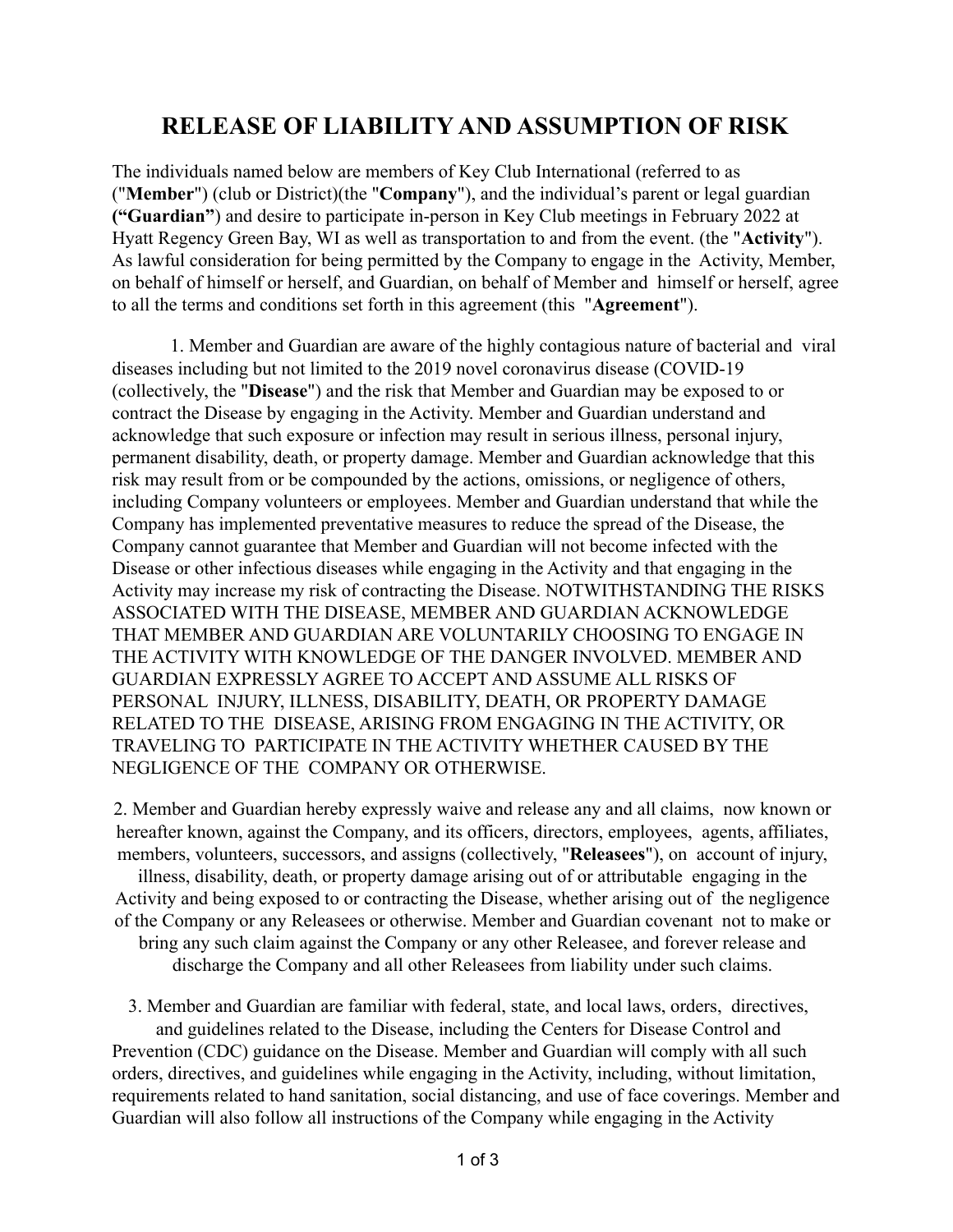## **RELEASE OF LIABILITY AND ASSUMPTION OF RISK**

The individuals named below are members of Key Club International (referred to as ("**Member**") (club or District)(the "**Company**"), and the individual's parent or legal guardian **("Guardian"**) and desire to participate in-person in Key Club meetings in February 2022 at Hyatt Regency Green Bay, WI as well as transportation to and from the event. (the "**Activity**"). As lawful consideration for being permitted by the Company to engage in the Activity, Member, on behalf of himself or herself, and Guardian, on behalf of Member and himself or herself, agree to all the terms and conditions set forth in this agreement (this "**Agreement**").

1. Member and Guardian are aware of the highly contagious nature of bacterial and viral diseases including but not limited to the 2019 novel coronavirus disease (COVID-19 (collectively, the "**Disease**") and the risk that Member and Guardian may be exposed to or contract the Disease by engaging in the Activity. Member and Guardian understand and acknowledge that such exposure or infection may result in serious illness, personal injury, permanent disability, death, or property damage. Member and Guardian acknowledge that this risk may result from or be compounded by the actions, omissions, or negligence of others, including Company volunteers or employees. Member and Guardian understand that while the Company has implemented preventative measures to reduce the spread of the Disease, the Company cannot guarantee that Member and Guardian will not become infected with the Disease or other infectious diseases while engaging in the Activity and that engaging in the Activity may increase my risk of contracting the Disease. NOTWITHSTANDING THE RISKS ASSOCIATED WITH THE DISEASE, MEMBER AND GUARDIAN ACKNOWLEDGE THAT MEMBER AND GUARDIAN ARE VOLUNTARILY CHOOSING TO ENGAGE IN THE ACTIVITY WITH KNOWLEDGE OF THE DANGER INVOLVED. MEMBER AND GUARDIAN EXPRESSLY AGREE TO ACCEPT AND ASSUME ALL RISKS OF PERSONAL INJURY, ILLNESS, DISABILITY, DEATH, OR PROPERTY DAMAGE RELATED TO THE DISEASE, ARISING FROM ENGAGING IN THE ACTIVITY, OR TRAVELING TO PARTICIPATE IN THE ACTIVITY WHETHER CAUSED BY THE NEGLIGENCE OF THE COMPANY OR OTHERWISE.

2. Member and Guardian hereby expressly waive and release any and all claims, now known or hereafter known, against the Company, and its officers, directors, employees, agents, affiliates, members, volunteers, successors, and assigns (collectively, "**Releasees**"), on account of injury, illness, disability, death, or property damage arising out of or attributable engaging in the Activity and being exposed to or contracting the Disease, whether arising out of the negligence of the Company or any Releasees or otherwise. Member and Guardian covenant not to make or bring any such claim against the Company or any other Releasee, and forever release and discharge the Company and all other Releasees from liability under such claims.

3. Member and Guardian are familiar with federal, state, and local laws, orders, directives, and guidelines related to the Disease, including the Centers for Disease Control and Prevention (CDC) guidance on the Disease. Member and Guardian will comply with all such orders, directives, and guidelines while engaging in the Activity, including, without limitation, requirements related to hand sanitation, social distancing, and use of face coverings. Member and Guardian will also follow all instructions of the Company while engaging in the Activity